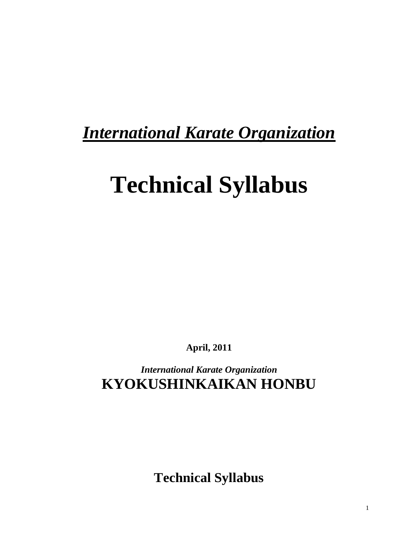# *International Karate Organization*

# **Technical Syllabus**

**April, 2011**

*International Karate Organization* **KYOKUSHINKAIKAN HONBU**

**Technical Syllabus**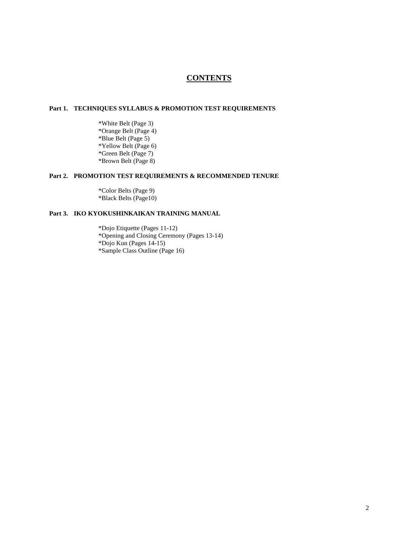## **CONTENTS**

### **Part 1. TECHNIQUES SYLLABUS & PROMOTION TEST REQUIREMENTS**

\*White Belt (Page 3) \*Orange Belt (Page 4) \*Blue Belt (Page 5) \*Yellow Belt (Page 6) \*Green Belt (Page 7) \*Brown Belt (Page 8)

#### **Part 2. PROMOTION TEST REQUIREMENTS & RECOMMENDED TENURE**

\*Color Belts (Page 9) \*Black Belts (Page10)

#### **Part 3. IKO KYOKUSHINKAIKAN TRAINING MANUAL**

\*Dojo Etiquette (Pages 11-12) \*Opening and Closing Ceremony (Pages 13-14) \*Dojo Kun (Pages 14-15) \*Sample Class Outline (Page 16)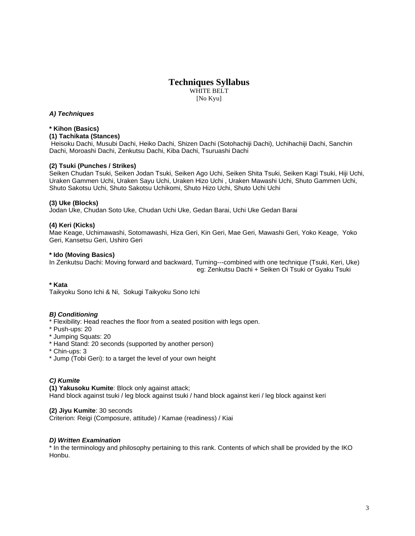WHITE BELT [No Kyu]

#### *A) Techniques*

#### **\* Kihon (Basics)**

#### **(1) Tachikata (Stances)**

Heisoku Dachi, Musubi Dachi, Heiko Dachi, Shizen Dachi (Sotohachiji Dachi), Uchihachiji Dachi, Sanchin Dachi, Moroashi Dachi, Zenkutsu Dachi, Kiba Dachi, Tsuruashi Dachi

#### **(2) Tsuki (Punches / Strikes)**

Seiken Chudan Tsuki, Seiken Jodan Tsuki, Seiken Ago Uchi, Seiken Shita Tsuki, Seiken Kagi Tsuki, Hiji Uchi, Uraken Gammen Uchi, Uraken Sayu Uchi, Uraken Hizo Uchi , Uraken Mawashi Uchi, Shuto Gammen Uchi, Shuto Sakotsu Uchi, Shuto Sakotsu Uchikomi, Shuto Hizo Uchi, Shuto Uchi Uchi

#### **(3) Uke (Blocks)**

Jodan Uke, Chudan Soto Uke, Chudan Uchi Uke, Gedan Barai, Uchi Uke Gedan Barai

#### **(4) Keri (Kicks)**

Mae Keage, Uchimawashi, Sotomawashi, Hiza Geri, Kin Geri, Mae Geri, Mawashi Geri, Yoko Keage, Yoko Geri, Kansetsu Geri, Ushiro Geri

#### **\* Ido (Moving Basics)**

In Zenkutsu Dachi: Moving forward and backward, Turning---combined with one technique (Tsuki, Keri, Uke) eg: Zenkutsu Dachi + Seiken Oi Tsuki or Gyaku Tsuki

#### **\* Kata**

Taikyoku Sono Ichi & Ni, Sokugi Taikyoku Sono Ichi

#### *B) Conditioning*

- \* Flexibility: Head reaches the floor from a seated position with legs open.
- \* Push-ups: 20
- \* Jumping Squats: 20
- \* Hand Stand: 20 seconds (supported by another person)
- \* Chin-ups: 3
- \* Jump (Tobi Geri): to a target the level of your own height

#### *C) Kumite*

**(1) Yakusoku Kumite**: Block only against attack;

Hand block against tsuki / leg block against tsuki / hand block against keri / leg block against keri

#### **(2) Jiyu Kumite**: 30 seconds

Criterion: Reigi (Composure, attitude) / Kamae (readiness) / Kiai

#### *D) Written Examination*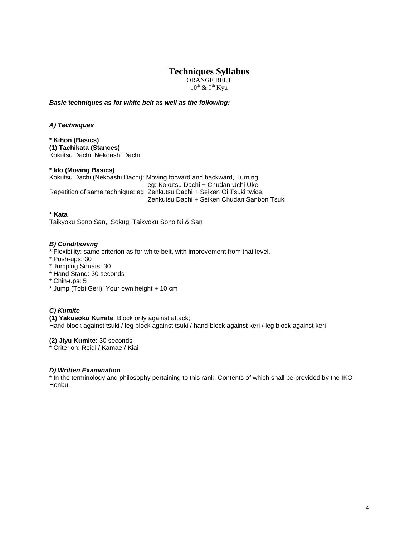ORANGE BELT  $10^{\text{th}}$  &  $9^{\text{th}}$  Kyu

*Basic techniques as for white belt as well as the following:*

*A) Techniques*

**\* Kihon (Basics) (1) Tachikata (Stances)** Kokutsu Dachi, Nekoashi Dachi

**\* Ido (Moving Basics)** Kokutsu Dachi (Nekoashi Dachi): Moving forward and backward, Turning eg: Kokutsu Dachi + Chudan Uchi Uke Repetition of same technique: eg: Zenkutsu Dachi + Seiken Oi Tsuki twice, Zenkutsu Dachi + Seiken Chudan Sanbon Tsuki

**\* Kata**

Taikyoku Sono San, Sokugi Taikyoku Sono Ni & San

#### *B) Conditioning*

\* Flexibility: same criterion as for white belt, with improvement from that level.

- \* Push-ups: 30
- \* Jumping Squats: 30
- \* Hand Stand: 30 seconds
- \* Chin-ups: 5
- \* Jump (Tobi Geri): Your own height + 10 cm

#### *C) Kumite*

**(1) Yakusoku Kumite**: Block only against attack; Hand block against tsuki / leg block against tsuki / hand block against keri / leg block against keri

**(2) Jiyu Kumite**: 30 seconds

\* Criterion: Reigi / Kamae / Kiai

#### *D) Written Examination*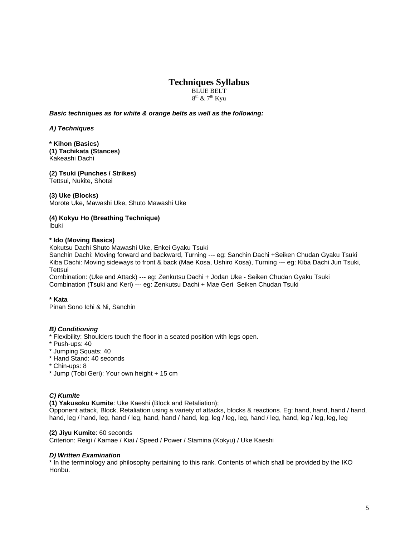BLUE BELT  $8^{th}$  &  $7^{th}$  Kyu

#### *Basic techniques as for white & orange belts as well as the following:*

*A) Techniques*

**\* Kihon (Basics) (1) Tachikata (Stances)** Kakeashi Dachi

**(2) Tsuki (Punches / Strikes)**  Tettsui, Nukite, Shotei

#### **(3) Uke (Blocks)**

Morote Uke, Mawashi Uke, Shuto Mawashi Uke

**(4) Kokyu Ho (Breathing Technique)** Ibuki

#### **\* Ido (Moving Basics)**

Kokutsu Dachi Shuto Mawashi Uke, Enkei Gyaku Tsuki

Sanchin Dachi: Moving forward and backward, Turning --- eg: Sanchin Dachi +Seiken Chudan Gyaku Tsuki Kiba Dachi: Moving sideways to front & back (Mae Kosa, Ushiro Kosa), Turning --- eg: Kiba Dachi Jun Tsuki, **Tettsui** 

Combination: (Uke and Attack) --- eg: Zenkutsu Dachi + Jodan Uke - Seiken Chudan Gyaku Tsuki Combination (Tsuki and Keri) --- eg: Zenkutsu Dachi + Mae Geri Seiken Chudan Tsuki

**\* Kata**

Pinan Sono Ichi & Ni, Sanchin

#### *B) Conditioning*

- \* Flexibility: Shoulders touch the floor in a seated position with legs open.
- \* Push-ups: 40
- \* Jumping Squats: 40
- \* Hand Stand: 40 seconds
- \* Chin-ups: 8
- \* Jump (Tobi Geri): Your own height + 15 cm

#### *C) Kumite*

**(1) Yakusoku Kumite**: Uke Kaeshi (Block and Retaliation);

Opponent attack, Block, Retaliation using a variety of attacks, blocks & reactions. Eg: hand, hand, hand / hand, hand, leg / hand, leg, hand / leg, hand, hand / hand, leg, leg / leg, leg, hand / leg, hand, leg / leg, leg, leg

#### **(2) Jiyu Kumite**: 60 seconds

Criterion: Reigi / Kamae / Kiai / Speed / Power / Stamina (Kokyu) / Uke Kaeshi

#### *D) Written Examination*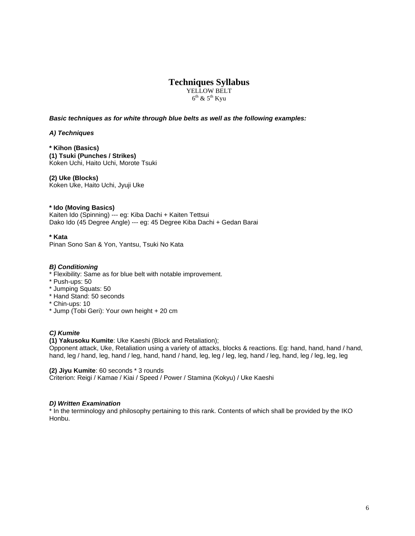YELLOW BELT  $6^{th}$  &  $5^{th}$  Kyu

*Basic techniques as for white through blue belts as well as the following examples:*

*A) Techniques*

**\* Kihon (Basics) (1) Tsuki (Punches / Strikes)**  Koken Uchi, Haito Uchi, Morote Tsuki

**(2) Uke (Blocks)** Koken Uke, Haito Uchi, Jyuji Uke

**\* Ido (Moving Basics)** Kaiten Ido (Spinning) --- eg: Kiba Dachi + Kaiten Tettsui Dako Ido (45 Degree Angle) --- eg: 45 Degree Kiba Dachi + Gedan Barai

**\* Kata** Pinan Sono San & Yon, Yantsu, Tsuki No Kata

#### *B) Conditioning*

\* Flexibility: Same as for blue belt with notable improvement.

- \* Push-ups: 50
- \* Jumping Squats: 50
- \* Hand Stand: 50 seconds
- \* Chin-ups: 10
- \* Jump (Tobi Geri): Your own height + 20 cm

#### *C) Kumite*

**(1) Yakusoku Kumite**: Uke Kaeshi (Block and Retaliation);

Opponent attack, Uke, Retaliation using a variety of attacks, blocks & reactions. Eg: hand, hand, hand / hand, hand, leg / hand, leg, hand / leg, hand, hand / hand, leg, leg / leg, leg, hand / leg, hand, leg / leg, leg, leg

**(2) Jiyu Kumite**: 60 seconds \* 3 rounds

Criterion: Reigi / Kamae / Kiai / Speed / Power / Stamina (Kokyu) / Uke Kaeshi

#### *D) Written Examination*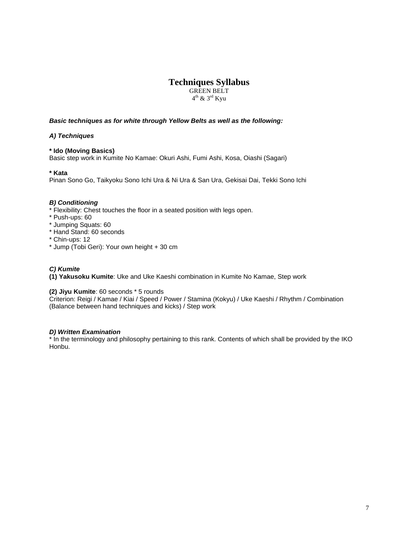GREEN BELT  $4<sup>th</sup>$  & 3<sup>rd</sup> Kyu

#### *Basic techniques as for white through Yellow Belts as well as the following:*

#### *A) Techniques*

#### **\* Ido (Moving Basics)**

Basic step work in Kumite No Kamae: Okuri Ashi, Fumi Ashi, Kosa, Oiashi (Sagari)

#### **\* Kata**

Pinan Sono Go, Taikyoku Sono Ichi Ura & Ni Ura & San Ura, Gekisai Dai, Tekki Sono Ichi

#### *B) Conditioning*

\* Flexibility: Chest touches the floor in a seated position with legs open.

- \* Push-ups: 60
- \* Jumping Squats: 60
- \* Hand Stand: 60 seconds
- \* Chin-ups: 12
- \* Jump (Tobi Geri): Your own height + 30 cm

#### *C) Kumite*

**(1) Yakusoku Kumite**: Uke and Uke Kaeshi combination in Kumite No Kamae, Step work

#### **(2) Jiyu Kumite**: 60 seconds \* 5 rounds

Criterion: Reigi / Kamae / Kiai / Speed / Power / Stamina (Kokyu) / Uke Kaeshi / Rhythm / Combination (Balance between hand techniques and kicks) / Step work

#### *D) Written Examination*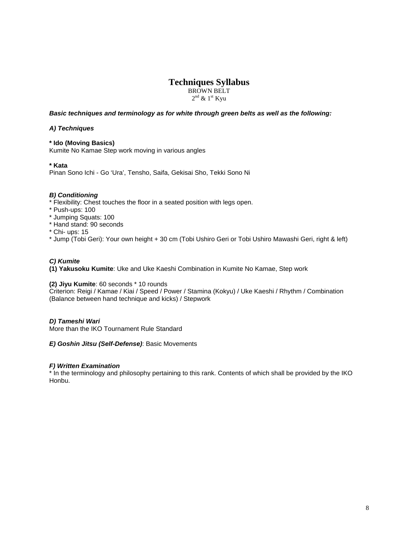BROWN BELT  $2<sup>nd</sup>$  &  $1<sup>st</sup>$  Kyu

#### *Basic techniques and terminology as for white through green belts as well as the following:*

#### *A) Techniques*

#### **\* Ido (Moving Basics)**

Kumite No Kamae Step work moving in various angles

#### **\* Kata**

Pinan Sono Ichi - Go 'Ura', Tensho, Saifa, Gekisai Sho, Tekki Sono Ni

#### *B) Conditioning*

- \* Flexibility: Chest touches the floor in a seated position with legs open.
- \* Push-ups: 100
- \* Jumping Squats: 100
- \* Hand stand: 90 seconds
- \* Chi- ups: 15
- \* Jump (Tobi Geri): Your own height + 30 cm (Tobi Ushiro Geri or Tobi Ushiro Mawashi Geri, right & left)

#### *C) Kumite*

**(1) Yakusoku Kumite**: Uke and Uke Kaeshi Combination in Kumite No Kamae, Step work

#### **(2) Jiyu Kumite**: 60 seconds \* 10 rounds

Criterion: Reigi / Kamae / Kiai / Speed / Power / Stamina (Kokyu) / Uke Kaeshi / Rhythm / Combination (Balance between hand technique and kicks) / Stepwork

#### *D) Tameshi Wari*

More than the IKO Tournament Rule Standard

#### *E) Goshin Jitsu (Self-Defense)*: Basic Movements

#### *F) Written Examination*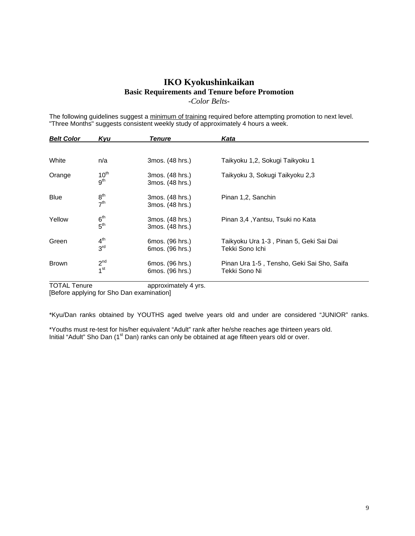# **IKO Kyokushinkaikan Basic Requirements and Tenure before Promotion** *-Color Belts-*

The following guidelines suggest a minimum of training required before attempting promotion to next level. "Three Months" suggests consistent weekly study of approximately 4 hours a week.

| <b>Belt Color</b> | Kvu                                | <b>Tenure</b>                      | Kata                                                        |
|-------------------|------------------------------------|------------------------------------|-------------------------------------------------------------|
|                   |                                    |                                    |                                                             |
| White             | n/a                                | 3mos. (48 hrs.)                    | Taikyoku 1,2, Sokugi Taikyoku 1                             |
| Orange            | $10^{th}$<br>9 <sup>th</sup>       | 3mos. (48 hrs.)<br>3mos. (48 hrs.) | Taikyoku 3, Sokugi Taikyoku 2,3                             |
| <b>Blue</b>       | 8 <sup>th</sup><br>7 <sup>th</sup> | 3mos. (48 hrs.)<br>3mos. (48 hrs.) | Pinan 1,2, Sanchin                                          |
| Yellow            | 6 <sup>th</sup><br>$5^{\text{th}}$ | 3mos. (48 hrs.)<br>3mos. (48 hrs.) | Pinan 3,4, Yantsu, Tsuki no Kata                            |
| Green             | 4 <sup>th</sup><br>3 <sup>rd</sup> | 6mos. (96 hrs.)<br>6mos. (96 hrs.) | Taikyoku Ura 1-3, Pinan 5, Geki Sai Dai<br>Tekki Sono Ichi  |
| <b>Brown</b>      | 2 <sup>nd</sup><br>1 <sup>st</sup> | 6mos. (96 hrs.)<br>6mos. (96 hrs.) | Pinan Ura 1-5, Tensho, Geki Sai Sho, Saifa<br>Tekki Sono Ni |

TOTAL Tenure **approximately 4 yrs.** [Before applying for Sho Dan examination]

\*Kyu/Dan ranks obtained by YOUTHS aged twelve years old and under are considered "JUNIOR" ranks.

\*Youths must re-test for his/her equivalent "Adult" rank after he/she reaches age thirteen years old. Initial "Adult" Sho Dan (1<sup>st</sup> Dan) ranks can only be obtained at age fifteen years old or over.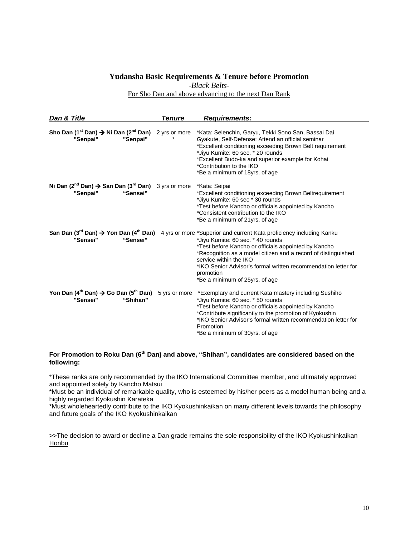#### **Yudansha Basic Requirements & Tenure before Promotion**

*-Black Belts-*

For Sho Dan and above advancing to the next Dan Rank

| Dan & Title                                                                                                    | Tenure        | <b>Requirements:</b>                                                                                                                                                                                                                                                                                                                                                                                                                                    |
|----------------------------------------------------------------------------------------------------------------|---------------|---------------------------------------------------------------------------------------------------------------------------------------------------------------------------------------------------------------------------------------------------------------------------------------------------------------------------------------------------------------------------------------------------------------------------------------------------------|
| Sho Dan (1 <sup>st</sup> Dan) $\rightarrow$ Ni Dan (2 <sup>nd</sup> Dan) 2 yrs or more<br>"Senpai"<br>"Senpai" |               | *Kata: Seienchin, Garyu, Tekki Sono San, Bassai Dai<br>Gyakute, Self-Defense: Attend an official seminar<br>*Excellent conditioning exceeding Brown Belt requirement<br>*Jiyu Kumite: 60 sec. * 20 rounds<br>*Excellent Budo-ka and superior example for Kohai<br>*Contribution to the IKO<br>*Be a minimum of 18yrs. of age                                                                                                                            |
| Ni Dan $(2^{nd}$ Dan) $\rightarrow$ San Dan $(3^{rd}$ Dan) 3 yrs or more<br>"Senpai"<br>"Sensei"               |               | *Kata: Seipai<br>*Excellent conditioning exceeding Brown Beltrequirement<br>*Jiyu Kumite: 60 sec * 30 rounds<br>*Test before Kancho or officials appointed by Kancho<br>*Consistent contribution to the IKO<br>*Be a minimum of 21yrs. of age                                                                                                                                                                                                           |
| "Sensei"<br>"Sensei"                                                                                           |               | San Dan (3 <sup>rd</sup> Dan) $\rightarrow$ Yon Dan (4 <sup>th</sup> Dan) 4 yrs or more *Superior and current Kata proficiency including Kanku<br>*Jiyu Kumite: 60 sec. * 40 rounds<br>*Test before Kancho or officials appointed by Kancho<br>*Recognition as a model citizen and a record of distinguished<br>service within the IKO<br>*IKO Senior Advisor's formal written recommendation letter for<br>promotion<br>*Be a minimum of 25yrs, of age |
| Yon Dan (4 <sup>th</sup> Dan) $\rightarrow$ Go Dan (5 <sup>th</sup> Dan)<br>"Sensei"<br>"Shihan"               | 5 yrs or more | *Exemplary and current Kata mastery including Sushiho<br>*Jiyu Kumite: 60 sec. * 50 rounds<br>*Test before Kancho or officials appointed by Kancho<br>*Contribute significantly to the promotion of Kyokushin<br>*IKO Senior Advisor's formal written recommendation letter for<br>Promotion<br>*Be a minimum of 30yrs. of age                                                                                                                          |

#### **For Promotion to Roku Dan (6th Dan) and above, "Shihan", candidates are considered based on the following:**

\*These ranks are only recommended by the IKO International Committee member, and ultimately approved and appointed solely by Kancho Matsui

\*Must be an individual of remarkable quality, who is esteemed by his/her peers as a model human being and a highly regarded Kyokushin Karateka

\*Must wholeheartedly contribute to the IKO Kyokushinkaikan on many different levels towards the philosophy and future goals of the IKO Kyokushinkaikan

>>The decision to award or decline a Dan grade remains the sole responsibility of the IKO Kyokushinkaikan **Honbu**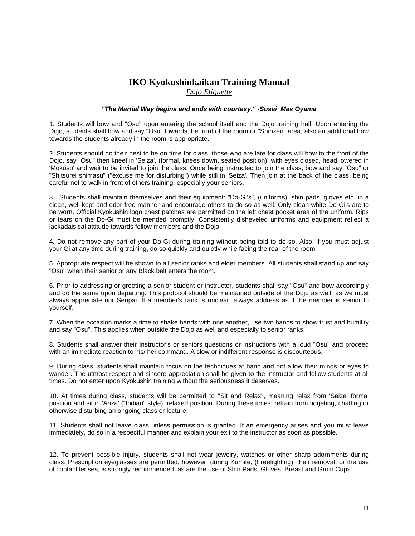# **IKO Kyokushinkaikan Training Manual** *Dojo Etiquette*

#### *"The Martial Way begins and ends with courtesy." -Sosai Mas Oyama*

1. Students will bow and "Osu" upon entering the school itself and the Dojo training hall. Upon entering the Dojo, students shall bow and say "Osu" towards the front of the room or "Shinzen" area, also an additional bow towards the students already in the room is appropriate.

2. Students should do their best to be on time for class, those who are late for class will bow to the front of the Dojo, say "Osu" then kneel in 'Seiza', (formal, knees down, seated position), with eyes closed, head lowered in 'Mokuso' and wait to be invited to join the class. Once being instructed to join the class, bow and say "Osu" or "Shitsurei shimasu" ("excuse me for disturbing") while still in 'Seiza'. Then join at the back of the class, being careful not to walk in front of others training, especially your seniors.

3. Students shall maintain themselves and their equipment: "Do-Gi's", (uniforms), shin pads, gloves etc. in a clean, well kept and odor free manner and encourage others to do so as well. Only clean white Do-Gi's are to be worn. Official Kyokushin logo chest patches are permitted on the left chest pocket area of the uniform. Rips or tears on the Do-Gi must be mended promptly. Consistently disheveled uniforms and equipment reflect a lackadaisical attitude towards fellow members and the Dojo.

4. Do not remove any part of your Do-Gi during training without being told to do so. Also, if you must adjust your Gi at any time during training, do so quickly and quietly while facing the rear of the room.

5. Appropriate respect will be shown to all senior ranks and elder members. All students shall stand up and say "Osu" when their senior or any Black belt enters the room.

6. Prior to addressing or greeting a senior student or instructor, students shall say "Osu" and bow accordingly and do the same upon departing. This protocol should be maintained outside of the Dojo as well, as we must always appreciate our Senpai. If a member's rank is unclear, always address as if the member is senior to yourself.

7. When the occasion marks a time to shake hands with one another, use two hands to show trust and humility and say "Osu". This applies when outside the Dojo as well and especially to senior ranks.

8. Students shall answer their Instructor's or seniors questions or instructions with a loud "Osu" and proceed with an immediate reaction to his/ her command. A slow or indifferent response is discourteous.

9. During class, students shall maintain focus on the techniques at hand and not allow their minds or eyes to wander. The utmost respect and sincere appreciation shall be given to the Instructor and fellow students at all times. Do not enter upon Kyokushin training without the seriousness it deserves.

10. At times during class, students will be permitted to ''Sit and Relax'', meaning relax from 'Seiza' formal position and sit in 'Anza' ("Indian" style), relaxed position. During these times, refrain from fidgeting, chatting or otherwise disturbing an ongoing class or lecture.

11. Students shall not leave class unless permission is granted. If an emergency arises and you must leave immediately, do so in a respectful manner and explain your exit to the instructor as soon as possible.

12. To prevent possible injury, students shall not wear jewelry, watches or other sharp adornments during class. Prescription eyeglasses are permitted, however, during Kumite, (Freefighting), their removal, or the use of contact lenses, is strongly recommended, as are the use of Shin Pads, Gloves, Breast and Groin Cups.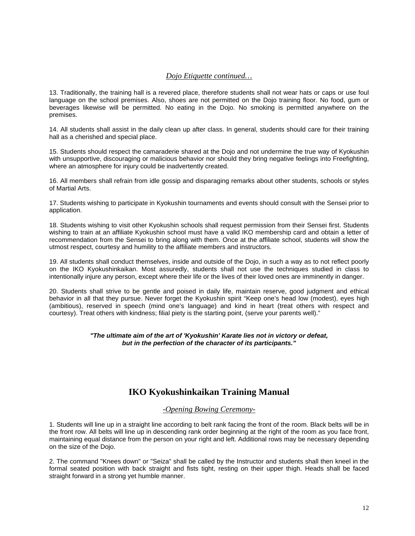#### *Dojo Etiquette continued…*

13. Traditionally, the training hall is a revered place, therefore students shall not wear hats or caps or use foul language on the school premises. Also, shoes are not permitted on the Dojo training floor. No food, gum or beverages likewise will be permitted. No eating in the Dojo. No smoking is permitted anywhere on the premises.

14. All students shall assist in the daily clean up after class. In general, students should care for their training hall as a cherished and special place.

15. Students should respect the camaraderie shared at the Dojo and not undermine the true way of Kyokushin with unsupportive, discouraging or malicious behavior nor should they bring negative feelings into Freefighting, where an atmosphere for injury could be inadvertently created.

16. All members shall refrain from idle gossip and disparaging remarks about other students, schools or styles of Martial Arts.

17. Students wishing to participate in Kyokushin tournaments and events should consult with the Sensei prior to application.

18. Students wishing to visit other Kyokushin schools shall request permission from their Sensei first. Students wishing to train at an affiliate Kyokushin school must have a valid IKO membership card and obtain a letter of recommendation from the Sensei to bring along with them. Once at the affiliate school, students will show the utmost respect, courtesy and humility to the affiliate members and instructors.

19. All students shall conduct themselves, inside and outside of the Dojo, in such a way as to not reflect poorly on the IKO Kyokushinkaikan. Most assuredly, students shall not use the techniques studied in class to intentionally injure any person, except where their life or the lives of their loved ones are imminently in danger.

20. Students shall strive to be gentle and poised in daily life, maintain reserve, good judgment and ethical behavior in all that they pursue. Never forget the Kyokushin spirit "Keep one's head low (modest), eyes high (ambitious), reserved in speech (mind one's language) and kind in heart (treat others with respect and courtesy). Treat others with kindness; filial piety is the starting point, (serve your parents well)."

#### *"The ultimate aim of the art of 'Kyokushin' Karate lies not in victory or defeat, but in the perfection of the character of its participants."*

# **IKO Kyokushinkaikan Training Manual**

#### *-Opening Bowing Ceremony-*

1. Students will line up in a straight line according to belt rank facing the front of the room. Black belts will be in the front row. All belts will line up in descending rank order beginning at the right of the room as you face front, maintaining equal distance from the person on your right and left. Additional rows may be necessary depending on the size of the Dojo.

2. The command "Knees down" or "Seiza" shall be called by the Instructor and students shall then kneel in the formal seated position with back straight and fists tight, resting on their upper thigh. Heads shall be faced straight forward in a strong yet humble manner.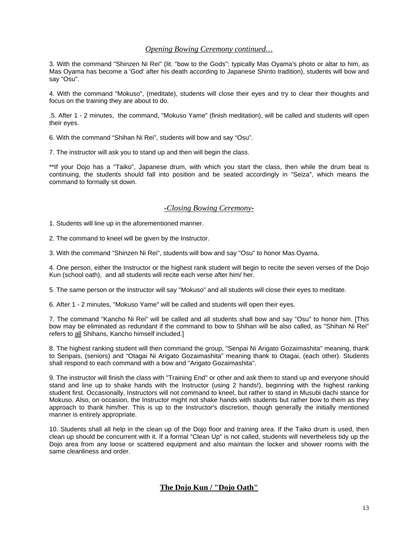#### *Opening Bowing Ceremony continued…*

3. With the command "Shinzen Ni Rei" (lit. "bow to the Gods": typically Mas Oyama's photo or altar to him, as Mas Oyama has become a 'God' after his death according to Japanese Shinto tradition), students will bow and say "Osu".

4. With the command "Mokuso", (meditate), students will close their eyes and try to clear their thoughts and focus on the training they are about to do.

.5. After 1 - 2 minutes, the command, "Mokuso Yame" (finish meditation), will be called and students will open their eyes.

6. With the command "Shihan Ni Rei", students will bow and say "Osu".

7. The instructor will ask you to stand up and then will begin the class.

\*\*If your Dojo has a "Taiko", Japanese drum, with which you start the class, then while the drum beat is continuing, the students should fall into position and be seated accordingly in "Seiza", which means the command to formally sit down.

#### *-Closing Bowing Ceremony-*

1. Students will line up in the aforementioned manner.

2. The command to kneel will be given by the Instructor.

3. With the command "Shinzen Ni Rei", students will bow and say "Osu" to honor Mas Oyama.

4. One person, either the Instructor or the highest rank student will begin to recite the seven verses of the Dojo Kun (school oath), and all students will recite each verse after him/ her.

5. The same person or the Instructor will say "Mokuso" and all students will close their eyes to meditate.

6. After 1 - 2 minutes, "Mokuso Yame" will be called and students will open their eyes.

7. The command "Kancho Ni Rei" will be called and all students shall bow and say "Osu" to honor him. [This bow may be eliminated as redundant if the command to bow to Shihan will be also called, as "Shihan Ni Rei" refers to all Shihans, Kancho himself included.]

8. The highest ranking student will then command the group, "Senpai Ni Arigato Gozaimashita" meaning, thank to Senpais, (seniors) and "Otagai Ni Arigato Gozaimashita" meaning thank to Otagai, (each other). Students shall respond to each command with a bow and "Arigato Gozaimashita".

9. The instructor will finish the class with "Training End" or other and ask them to stand up and everyone should stand and line up to shake hands with the Instructor (using 2 hands!), beginning with the highest ranking student first. Occasionally, Instructors will not command to kneel, but rather to stand in Musubi dachi stance for Mokuso. Also, on occasion, the Instructor might not shake hands with students but rather bow to them as they approach to thank him/her. This is up to the Instructor's discretion, though generally the initially mentioned manner is entirely appropriate.

10. Students shall all help in the clean up of the Dojo floor and training area. If the Taiko drum is used, then clean up should be concurrent with it. If a formal "Clean Up" is not called, students will nevertheless tidy up the Dojo area from any loose or scattered equipment and also maintain the locker and shower rooms with the same cleanliness and order.

#### **The Dojo Kun / "Dojo Oath"**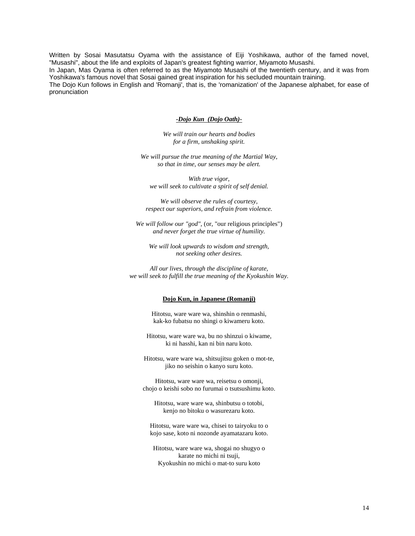Written by Sosai Masutatsu Oyama with the assistance of Eiji Yoshikawa, author of the famed novel, "Musashi", about the life and exploits of Japan's greatest fighting warrior, Miyamoto Musashi.

In Japan, Mas Oyama is often referred to as the Miyamoto Musashi of the twentieth century, and it was from Yoshikawa's famous novel that Sosai gained great inspiration for his secluded mountain training.

The Dojo Kun follows in English and 'Romanji', that is, the 'romanization' of the Japanese alphabet, for ease of pronunciation

#### *-Dojo Kun (Dojo Oath)-*

*We will train our hearts and bodies for a firm, unshaking spirit.*

*We will pursue the true meaning of the Martial Way, so that in time, our senses may be alert.*

*With true vigor, we will seek to cultivate a spirit of self denial.*

*We will observe the rules of courtesy, respect our superiors, and refrain from violence.*

*We will follow our "god",* (or, "our religious principles") *and never forget the true virtue of humility.*

*We will look upwards to wisdom and strength, not seeking other desires.*

*All our lives, through the discipline of karate, we will seek to fulfill the true meaning of the Kyokushin Way.*

#### **Dojo Kun, in Japanese (Romanji)**

Hitotsu, ware ware wa, shinshin o renmashi, kak-ko fubatsu no shingi o kiwameru koto.

Hitotsu, ware ware wa, bu no shinzui o kiwame, ki ni hasshi, kan ni bin naru koto.

Hitotsu, ware ware wa, shitsujitsu goken o mot-te, jiko no seishin o kanyo suru koto.

Hitotsu, ware ware wa, reisetsu o omonji, chojo o keishi sobo no furumai o tsutsushimu koto.

Hitotsu, ware ware wa, shinbutsu o totobi, kenjo no bitoku o wasurezaru koto.

Hitotsu, ware ware wa, chisei to tairyoku to o kojo sase, koto ni nozonde ayamatazaru koto.

Hitotsu, ware ware wa, shogai no shugyo o karate no michi ni tsuji, Kyokushin no michi o mat-to suru koto